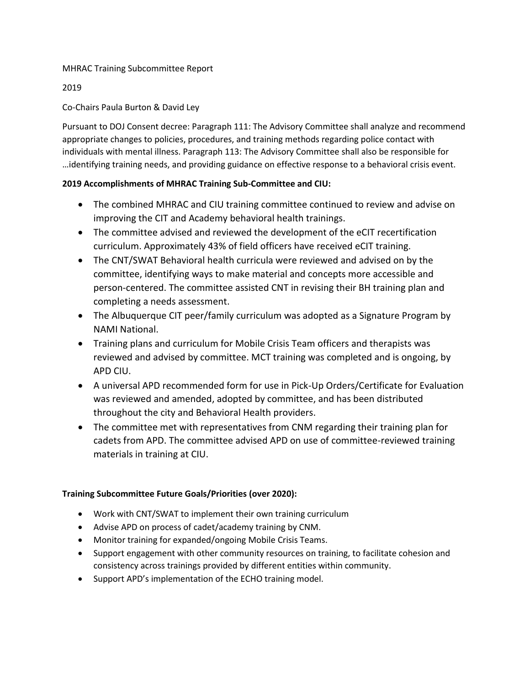#### MHRAC Training Subcommittee Report

#### 2019

### Co-Chairs Paula Burton & David Ley

Pursuant to DOJ Consent decree: Paragraph 111: The Advisory Committee shall analyze and recommend appropriate changes to policies, procedures, and training methods regarding police contact with individuals with mental illness. Paragraph 113: The Advisory Committee shall also be responsible for …identifying training needs, and providing guidance on effective response to a behavioral crisis event.

#### **2019 Accomplishments of MHRAC Training Sub-Committee and CIU:**

- The combined MHRAC and CIU training committee continued to review and advise on improving the CIT and Academy behavioral health trainings.
- The committee advised and reviewed the development of the eCIT recertification curriculum. Approximately 43% of field officers have received eCIT training.
- The CNT/SWAT Behavioral health curricula were reviewed and advised on by the committee, identifying ways to make material and concepts more accessible and person-centered. The committee assisted CNT in revising their BH training plan and completing a needs assessment.
- The Albuquerque CIT peer/family curriculum was adopted as a Signature Program by NAMI National.
- Training plans and curriculum for Mobile Crisis Team officers and therapists was reviewed and advised by committee. MCT training was completed and is ongoing, by APD CIU.
- A universal APD recommended form for use in Pick-Up Orders/Certificate for Evaluation was reviewed and amended, adopted by committee, and has been distributed throughout the city and Behavioral Health providers.
- The committee met with representatives from CNM regarding their training plan for cadets from APD. The committee advised APD on use of committee-reviewed training materials in training at CIU.

#### **Training Subcommittee Future Goals/Priorities (over 2020):**

- Work with CNT/SWAT to implement their own training curriculum
- Advise APD on process of cadet/academy training by CNM.
- Monitor training for expanded/ongoing Mobile Crisis Teams.
- Support engagement with other community resources on training, to facilitate cohesion and consistency across trainings provided by different entities within community.
- Support APD's implementation of the ECHO training model.